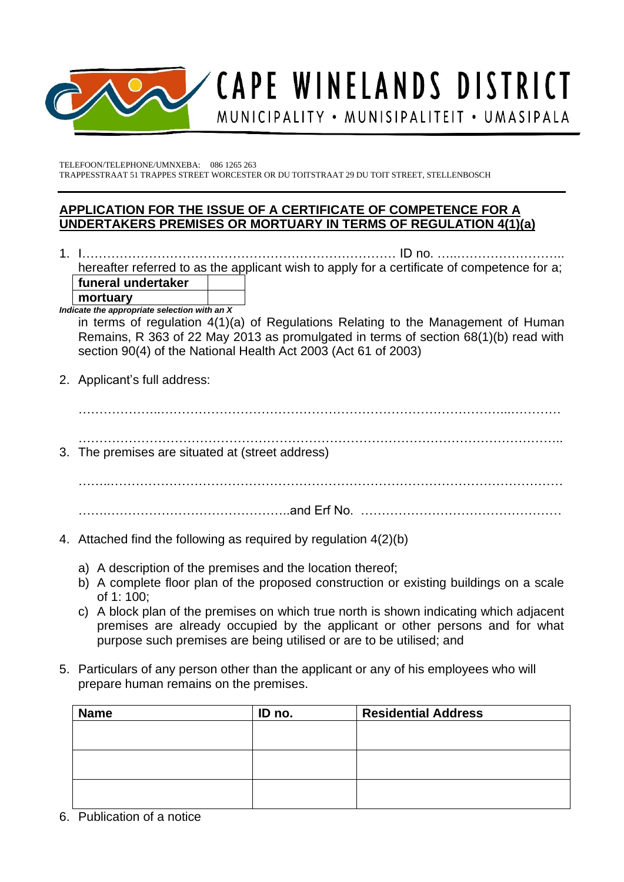

## CAPE WINELANDS DISTRICT MUNICIPALITY • MUNISIPALITEIT • UMASIPALA

TELEFOON/TELEPHONE/UMNXEBA: 086 1265 263 TRAPPESSTRAAT 51 TRAPPES STREET WORCESTER OR DU TOITSTRAAT 29 DU TOIT STREET, STELLENBOSCH

## **APPLICATION FOR THE ISSUE OF A CERTIFICATE OF COMPETENCE FOR A UNDERTAKERS PREMISES OR MORTUARY IN TERMS OF REGULATION 4(1)(a)**

1. I………………………………………………………………… ID no. …..…………………….. hereafter referred to as the applicant wish to apply for a certificate of competence for a; **funeral undertaker**

**mortuary**

*Indicate the appropriate selection with an X* 

in terms of regulation 4(1)(a) of Regulations Relating to the Management of Human Remains, R 363 of 22 May 2013 as promulgated in terms of section 68(1)(b) read with section 90(4) of the National Health Act 2003 (Act 61 of 2003)

2. Applicant's full address:

 $\mathcal{L}^{\text{max}}_{\text{max}}$ 

- …………………………………………………………………………………………………….. 3. The premises are situated at (street address)
- 

……..………………………………………………………………………………………………

- …….……………………………………..and Erf No. …………………………………………
- 4. Attached find the following as required by regulation 4(2)(b)
	- a) A description of the premises and the location thereof;
	- b) A complete floor plan of the proposed construction or existing buildings on a scale of 1: 100;
	- c) A block plan of the premises on which true north is shown indicating which adjacent premises are already occupied by the applicant or other persons and for what purpose such premises are being utilised or are to be utilised; and
- 5. Particulars of any person other than the applicant or any of his employees who will prepare human remains on the premises.

| <b>Name</b> | ID no. | <b>Residential Address</b> |
|-------------|--------|----------------------------|
|             |        |                            |
|             |        |                            |
|             |        |                            |
|             |        |                            |
|             |        |                            |
|             |        |                            |

6. Publication of a notice